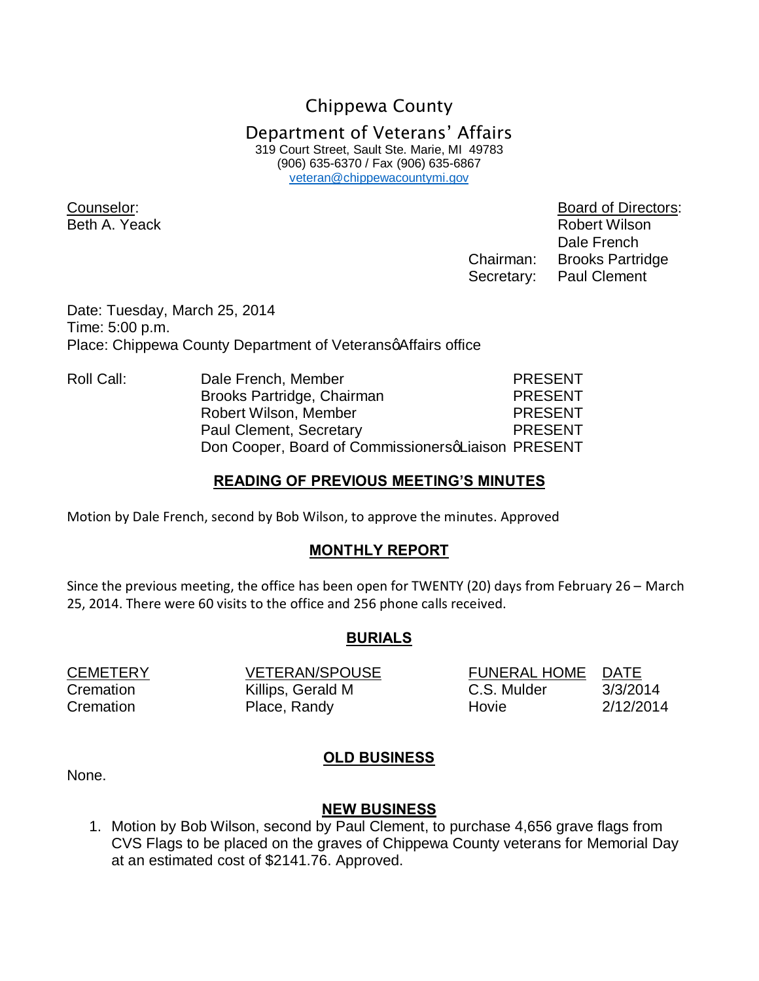Chippewa County Department of Veterans' Affairs 319 Court Street, Sault Ste. Marie, MI 49783 (906) 635-6370 / Fax (906) 635-6867 veteran@chippewacountymi.gov

Counselor: Board of Directors: Beth A. Yeack **Robert Wilson**  Dale French Chairman: Brooks Partridge Secretary: Paul Clement

Date: Tuesday, March 25, 2014 Time: 5:00 p.m. Place: Chippewa County Department of Veteransg Affairs office

Roll Call: Dale French, Member PRESENT Brooks Partridge, Chairman PRESENT Robert Wilson, Member PRESENT Paul Clement, Secretary **PRESENT** Don Cooper, Board of CommissionersqLiaison PRESENT

### **READING OF PREVIOUS MEETING'S MINUTES**

Motion by Dale French, second by Bob Wilson, to approve the minutes. Approved

## **MONTHLY REPORT**

Since the previous meeting, the office has been open for TWENTY (20) days from February 26 – March 25, 2014. There were 60 visits to the office and 256 phone calls received.

## **BURIALS**

CEMETERY VETERAN/SPOUSE FUNERAL HOME DATE Cremation Killips, Gerald M C.S. Mulder 3/3/2014 Cremation Place, Randy Hovie 2/12/2014

## **OLD BUSINESS**

None.

## **NEW BUSINESS**

1. Motion by Bob Wilson, second by Paul Clement, to purchase 4,656 grave flags from CVS Flags to be placed on the graves of Chippewa County veterans for Memorial Day at an estimated cost of \$2141.76. Approved.